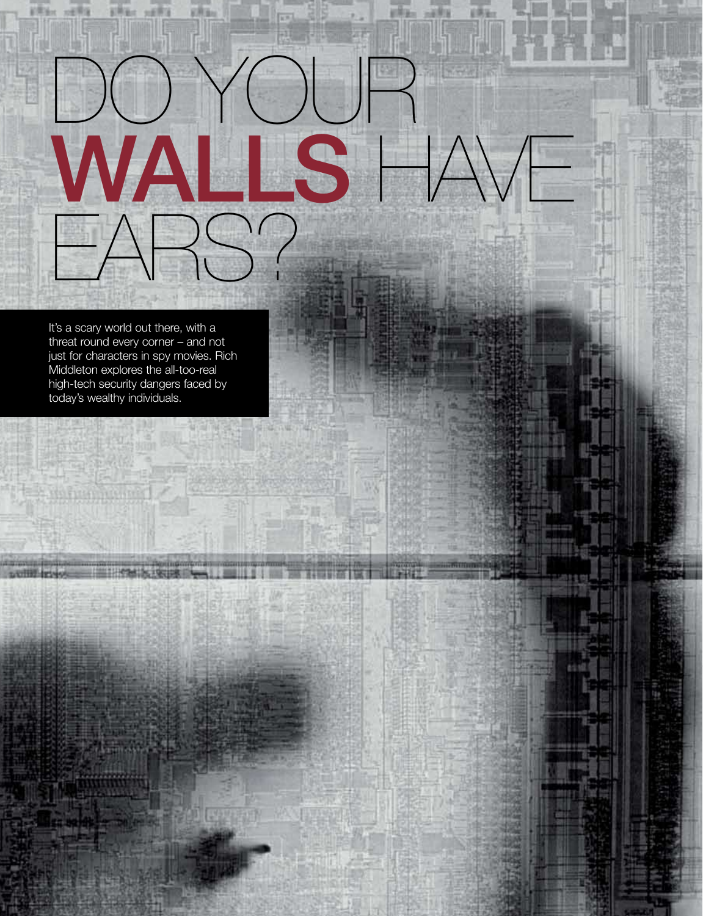It's a scary world out there, with a threat round every corner – and not just for characters in spy movies. Rich Middleton explores the all-too-real high-tech security dangers faced by today's wealthy individuals.

EARS?

do your

WALLS HAVE

**URGIN** 

Mм

w

日常な。

44

charity of the wealth collection

前用油水

**xellia** 

ERRIC ARRIS

创压